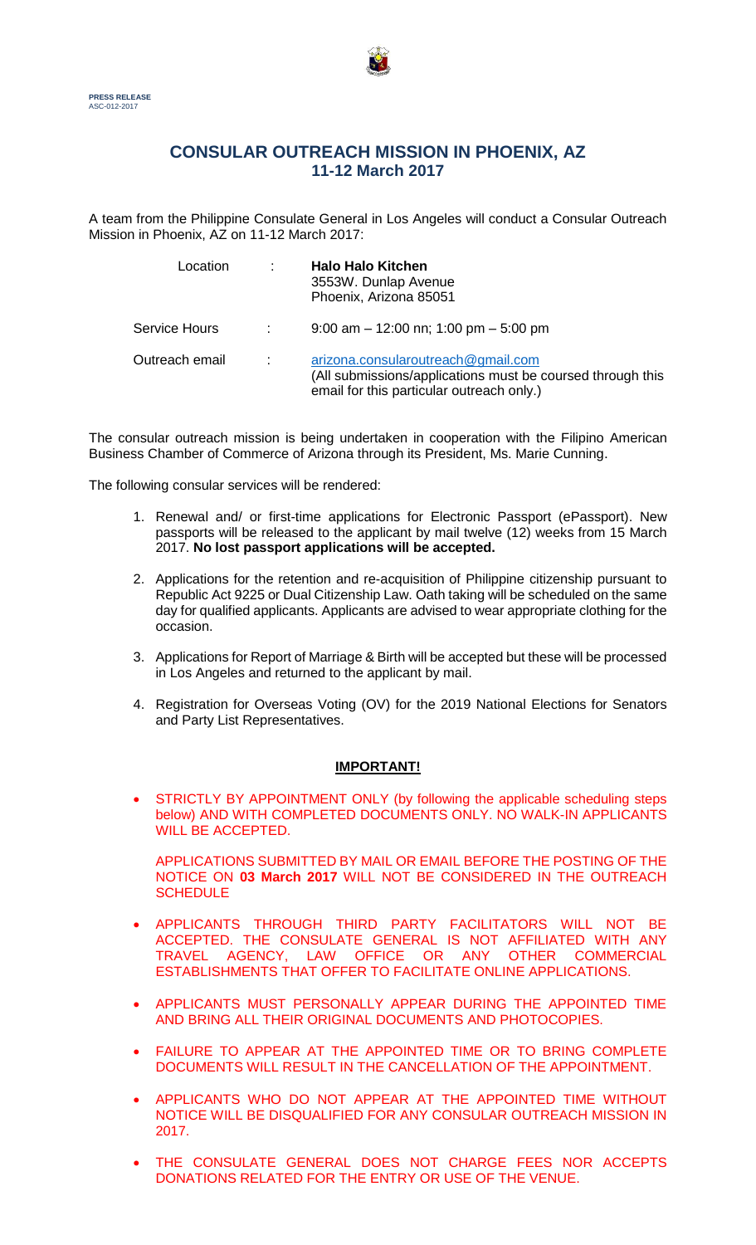

# **CONSULAR OUTREACH MISSION IN PHOENIX, AZ 11-12 March 2017**

A team from the Philippine Consulate General in Los Angeles will conduct a Consular Outreach Mission in Phoenix, AZ on 11-12 March 2017:

| Location             |                | <b>Halo Halo Kitchen</b><br>3553W. Dunlap Avenue<br>Phoenix, Arizona 85051                                                                    |
|----------------------|----------------|-----------------------------------------------------------------------------------------------------------------------------------------------|
| <b>Service Hours</b> | $\mathbb{R}^n$ | $9:00$ am $-12:00$ nn; 1:00 pm $-5:00$ pm                                                                                                     |
| Outreach email       | ÷              | arizona.consularoutreach@gmail.com<br>(All submissions/applications must be coursed through this<br>email for this particular outreach only.) |

The consular outreach mission is being undertaken in cooperation with the Filipino American Business Chamber of Commerce of Arizona through its President, Ms. Marie Cunning.

The following consular services will be rendered:

- 1. Renewal and/ or first-time applications for Electronic Passport (ePassport). New passports will be released to the applicant by mail twelve (12) weeks from 15 March 2017. **No lost passport applications will be accepted.**
- 2. Applications for the retention and re-acquisition of Philippine citizenship pursuant to Republic Act 9225 or Dual Citizenship Law. Oath taking will be scheduled on the same day for qualified applicants. Applicants are advised to wear appropriate clothing for the occasion.
- 3. Applications for Report of Marriage & Birth will be accepted but these will be processed in Los Angeles and returned to the applicant by mail.
- 4. Registration for Overseas Voting (OV) for the 2019 National Elections for Senators and Party List Representatives.

### **IMPORTANT!**

 STRICTLY BY APPOINTMENT ONLY (by following the applicable scheduling steps below) AND WITH COMPLETED DOCUMENTS ONLY. NO WALK-IN APPLICANTS WILL BE ACCEPTED.

APPLICATIONS SUBMITTED BY MAIL OR EMAIL BEFORE THE POSTING OF THE NOTICE ON **03 March 2017** WILL NOT BE CONSIDERED IN THE OUTREACH **SCHEDULE** 

- APPLICANTS THROUGH THIRD PARTY FACILITATORS WILL NOT BE ACCEPTED. THE CONSULATE GENERAL IS NOT AFFILIATED WITH ANY TRAVEL AGENCY. LAW OFFICE OR ANY OTHER COMMERCIAL TRAVEL AGENCY, LAW OFFICE OR ANY ESTABLISHMENTS THAT OFFER TO FACILITATE ONLINE APPLICATIONS.
- APPLICANTS MUST PERSONALLY APPEAR DURING THE APPOINTED TIME AND BRING ALL THEIR ORIGINAL DOCUMENTS AND PHOTOCOPIES.
- FAILURE TO APPEAR AT THE APPOINTED TIME OR TO BRING COMPLETE DOCUMENTS WILL RESULT IN THE CANCELLATION OF THE APPOINTMENT.
- APPLICANTS WHO DO NOT APPEAR AT THE APPOINTED TIME WITHOUT NOTICE WILL BE DISQUALIFIED FOR ANY CONSULAR OUTREACH MISSION IN 2017.
- THE CONSULATE GENERAL DOES NOT CHARGE FEES NOR ACCEPTS DONATIONS RELATED FOR THE ENTRY OR USE OF THE VENUE.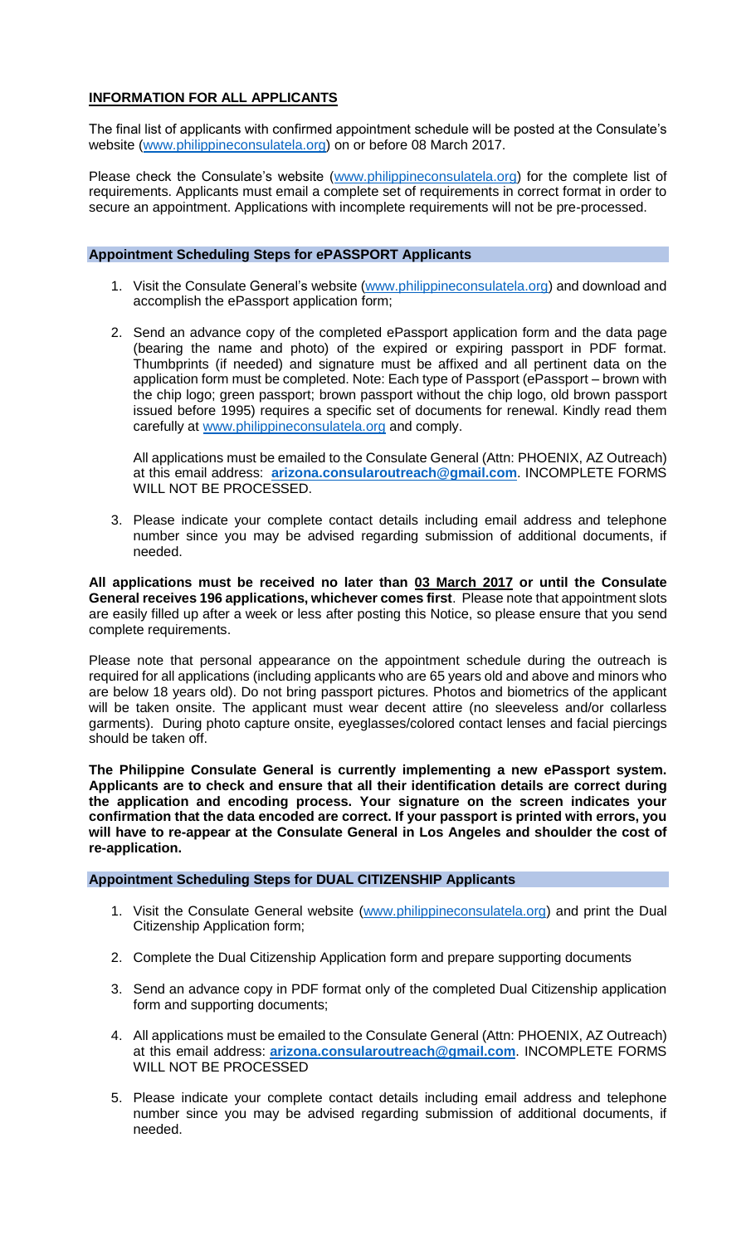### **INFORMATION FOR ALL APPLICANTS**

The final list of applicants with confirmed appointment schedule will be posted at the Consulate's website [\(www.philippineconsulatela.org\)](http://www.philippineconsulatela.org/) on or before 08 March 2017.

Please check the Consulate's website [\(www.philippineconsulatela.org\)](http://www.philippineconsulatela.org/) for the complete list of requirements. Applicants must email a complete set of requirements in correct format in order to secure an appointment. Applications with incomplete requirements will not be pre-processed.

#### **Appointment Scheduling Steps for ePASSPORT Applicants**

- 1. Visit the Consulate General's website [\(www.philippineconsulatela.org\)](http://www.philippineconsulatela.org/) and download and accomplish the ePassport application form;
- 2. Send an advance copy of the completed ePassport application form and the data page (bearing the name and photo) of the expired or expiring passport in PDF format. Thumbprints (if needed) and signature must be affixed and all pertinent data on the application form must be completed. Note: Each type of Passport (ePassport – brown with the chip logo; green passport; brown passport without the chip logo, old brown passport issued before 1995) requires a specific set of documents for renewal. Kindly read them carefully at [www.philippineconsulatela.org](http://www.philippineconsulatela.org/) and comply.

All applications must be emailed to the Consulate General (Attn: PHOENIX, AZ Outreach) at this email address: **[arizona.consularoutreach@gmail.com](mailto:arizona.consularoutreach@gmail.com)**. INCOMPLETE FORMS WILL NOT BE PROCESSED.

3. Please indicate your complete contact details including email address and telephone number since you may be advised regarding submission of additional documents, if needed.

**All applications must be received no later than 03 March 2017 or until the Consulate General receives 196 applications, whichever comes first**. Please note that appointment slots are easily filled up after a week or less after posting this Notice, so please ensure that you send complete requirements.

Please note that personal appearance on the appointment schedule during the outreach is required for all applications (including applicants who are 65 years old and above and minors who are below 18 years old). Do not bring passport pictures. Photos and biometrics of the applicant will be taken onsite. The applicant must wear decent attire (no sleeveless and/or collarless garments). During photo capture onsite, eyeglasses/colored contact lenses and facial piercings should be taken off.

**The Philippine Consulate General is currently implementing a new ePassport system. Applicants are to check and ensure that all their identification details are correct during the application and encoding process. Your signature on the screen indicates your confirmation that the data encoded are correct. If your passport is printed with errors, you will have to re-appear at the Consulate General in Los Angeles and shoulder the cost of re-application.**

#### **Appointment Scheduling Steps for DUAL CITIZENSHIP Applicants**

- 1. Visit the Consulate General website [\(www.philippineconsulatela.org\)](http://www.philippineconsulatela.org/) and print the Dual Citizenship Application form;
- 2. Complete the Dual Citizenship Application form and prepare supporting documents
- 3. Send an advance copy in PDF format only of the completed Dual Citizenship application form and supporting documents;
- 4. All applications must be emailed to the Consulate General (Attn: PHOENIX, AZ Outreach) at this email address: **[arizona.consularoutreach@gmail.com](mailto:arizona.consularoutreach@gmail.com)**. INCOMPLETE FORMS WILL NOT BE PROCESSED
- 5. Please indicate your complete contact details including email address and telephone number since you may be advised regarding submission of additional documents, if needed.